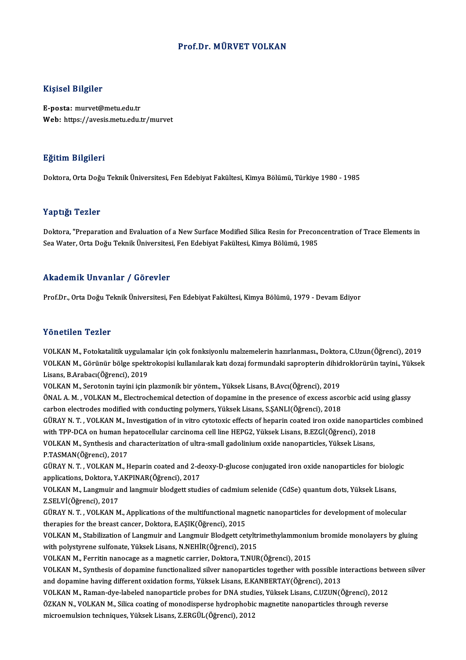## Prof.Dr.MÜRVET VOLKAN

### Kişisel Bilgiler

E-posta: murvet@metu.edu.tr Web: https://avesis.metu.edu.tr/murvet

### Eğitim Bilgileri

Doktora,OrtaDoğuTeknikÜniversitesi,FenEdebiyatFakültesi,KimyaBölümü,Türkiye 1980 -1985

### Yaptığı Tezler

Doktora, "Preparation and Evaluation of a New Surface Modified Silica Resin for Preconcentration of Trace Elements in Sea Water, Orta Doğu Teknik Üniversitesi, Fen Edebiyat Fakültesi, Kimya Bölümü, 1985

### Akademik Unvanlar / Görevler

Prof.Dr., Orta Doğu Teknik Üniversitesi, Fen Edebiyat Fakültesi, Kimya Bölümü, 1979 - Devam Ediyor

### Yönetilen Tezler

VOLKANM.,Fotokatalitikuygulamalar içinçokfonksiyonlumalzemelerinhazırlanması.,Doktora,C.Uzun(Öğrenci),2019 YOLKAN M., Fotokatalitik uygulamalar için çok fonksiyonlu malzemelerin hazırlanması., Doktora, C.Uzun(Öğrenci), 2019<br>VOLKAN M., Görünür bölge spektrokopisi kullanılarak katı dozaj formundaki sapropterin dihidroklorürün tay Lisans, B.Arabacı(Öğrenci), 2019<br>VOLKAN M., Serotonin tayini için plazmonik bir yöntem., Yüksek Lisans, B.Avcı(Öğrenci), 2019 VOLKAN M., Görünür bölge spektrokopisi kullanılarak katı dozaj formundaki sapropterin dihid<br>Lisans, B.Arabacı(Öğrenci), 2019<br>VOLKAN M., Serotonin tayini için plazmonik bir yöntem., Yüksek Lisans, B.Avcı(Öğrenci), 2019<br>ÖNAL

Lisans, B.Arabacı(Öğrenci), 2019<br>VOLKAN M., Serotonin tayini için plazmonik bir yöntem., Yüksek Lisans, B.Avcı(Öğrenci), 2019<br>ÖNAL A. M. , VOLKAN M., Electrochemical detection of dopamine in the presence of excess ascorbic VOLKAN M., Serotonin tayini için plazmonik bir yöntem., Yüksek Lisans, B.Avcı(Öğrenci), 2019<br>ÖNAL A. M. , VOLKAN M., Electrochemical detection of dopamine in the presence of excess asco<br>carbon electrodes modified with cond ÖNAL A. M. , VOLKAN M., Electrochemical detection of dopamine in the presence of excess ascorbic acid using glassy<br>carbon electrodes modified with conducting polymers, Yüksek Lisans, S.ŞANLI(Öğrenci), 2018<br>GÜRAY N. T. , VO

carbon electrodes modified with conducting polymers, Yüksek Lisans, S.ŞANLI(Öğrenci), 2018<br>GÜRAY N. T. , VOLKAN M., Investigation of in vitro cytotoxic effects of heparin coated iron oxide nanoparti<br>with TPP-DCA on human h GÜRAY N. T. , VOLKAN M., Investigation of in vitro cytotoxic effects of heparin coated iron oxide nanopart<br>with TPP-DCA on human hepatocellular carcinoma cell line HEPG2, Yüksek Lisans, B.EZGİ(Öğrenci), 2018<br>VOLKAN M., Syn

with TPP-DCA on human he<br>VOLKAN M., Synthesis and<br>P.TASMAN(Öğrenci), 2017<br>C<sup>üp AV N. T., VOLKAN M. H</sup> VOLKAN M., Synthesis and characterization of ultra-small gadolinium oxide nanoparticles, Yüksek Lisans,<br>P.TASMAN(Öğrenci), 2017<br>GÜRAY N. T. , VOLKAN M., Heparin coated and 2-deoxy-D-glucose conjugated iron oxide nanopartic

P.TASMAN(Öğrenci), 2017<br>GÜRAY N. T. , VOLKAN M., Heparin coated and 2-de<br>applications, Doktora, Y.AKPINAR(Öğrenci), 2017<br>VOLKAN M. Langwuir and langwuir blodgett stud GÜRAY N. T. , VOLKAN M., Heparin coated and 2-deoxy-D-glucose conjugated iron oxide nanoparticles for biolog<br>applications, Doktora, Y.AKPINAR(Öğrenci), 2017<br>VOLKAN M., Langmuir and langmuir blodgett studies of cadmium sele

applications, Doktora, Y.AKPINAR(Öğrenci), 2017<br>VOLKAN M., Langmuir and langmuir blodgett studies of cadmium selenide (CdSe) quantum dots, Yüksek Lisans,<br>Z.SELVİ(Öğrenci), 2017<br>GÜRAY N. T. , VOLKAN M., Applications of the VOLKAN M., Langmuir and langmuir blodgett studies of cadmium selenide (CdSe) quantum dots, Yüksek Lisans,

therapies for the breast cancer, Doktora, E.AŞIK(Öğrenci), 2015 GÜRAY N. T. , VOLKAN M., Applications of the multifunctional magnetic nanoparticles for development of molecular<br>therapies for the breast cancer, Doktora, E.AŞIK(Öğrenci), 2015<br>VOLKAN M., Stabilization of Langmuir and Lang

therapies for the breast cancer, Doktora, E.AŞIK(Öğrenci), 2015<br>VOLKAN M., Stabilization of Langmuir and Langmuir Blodgett cetyltr<br>with polystyrene sulfonate, Yüksek Lisans, N.NEHİR(Öğrenci), 2015<br>VOLKAN M., Ferritin panes VOLKAN M., Stabilization of Langmuir and Langmuir Blodgett cetyltrimethylammoniu:<br>with polystyrene sulfonate, Yüksek Lisans, N.NEHİR(Öğrenci), 2015<br>VOLKAN M., Ferritin nanocage as a magnetic carrier, Doktora, T.NUR(Öğrenci

with polystyrene sulfonate, Yüksek Lisans, N.NEHİR(Öğrenci), 2015<br>VOLKAN M., Ferritin nanocage as a magnetic carrier, Doktora, T.NUR(Öğrenci), 2015<br>VOLKAN M., Synthesis of dopamine functionalized silver nanoparticles toget VOLKAN M., Ferritin nanocage as a magnetic carrier, Doktora, T.NUR(Öğrenci), 2015<br>VOLKAN M., Synthesis of dopamine functionalized silver nanoparticles together with possible in<br>and dopamine having different oxidation forms VOLKAN M., Synthesis of dopamine functionalized silver nanoparticles together with possible interactions bet<br>and dopamine having different oxidation forms, Yüksek Lisans, E.KANBERTAY(Öğrenci), 2013<br>VOLKAN M., Raman-dye-lab

and dopamine having different oxidation forms, Yüksek Lisans, E.KANBERTAY(Öğrenci), 2013<br>VOLKAN M., Raman-dye-labeled nanoparticle probes for DNA studies, Yüksek Lisans, C.UZUN(Öğrenci), 2012<br>ÖZKAN N., VOLKAN M., Silica co VOLKAN M., Raman-dye-labeled nanoparticle probes for DNA studi<br>ÖZKAN N., VOLKAN M., Silica coating of monodisperse hydrophobic<br>microemulsion techniques, Yüksek Lisans, Z.ERGÜL(Öğrenci), 2012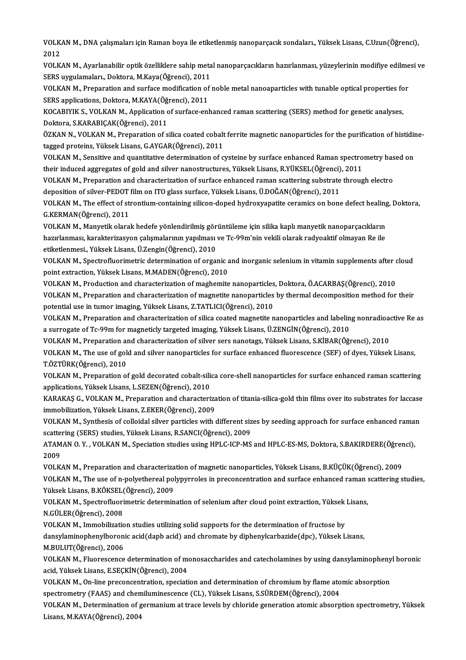VOLKAN M., DNA çalışmaları için Raman boya ile etiketlenmiş nanoparçacık sondaları., Yüksek Lisans, C.Uzun(Öğrenci),<br>2012 VOLK<br>2012<br>VOLK VOLKAN M., DNA çalışmaları için Raman boya ile etiketlenmiş nanoparçacık sondaları., Yüksek Lisans, C.Uzun(Öğrenci),<br>2012<br>VOLKAN M., Ayarlanabilir optik özelliklere sahip metal nanoparçacıkların hazırlanması, yüzeylerinin

2012<br>VOLKAN M., Ayarlanabilir optik özelliklere sahip meta<br>SERS uygulamaları., Doktora, M.Kaya(Öğrenci), 2011<br>VOLKAN M. Preporation and aurface modification of . VOLKAN M., Ayarlanabilir optik özelliklere sahip metal nanoparçacıkların hazırlanması, yüzeylerinin modifiye edilme<br>SERS uygulamaları., Doktora, M.Kaya(Öğrenci), 2011<br>VOLKAN M., Preparation and surface modification of nobl

SERS uygulamaları., Doktora, M.Kaya(Öğrenci), 2011<br>VOLKAN M., Preparation and surface modification of<br>SERS applications, Doktora, M.KAYA(Öğrenci), 2011<br>VOCARIVIK S. VOLKAN M. Application of surface onl VOLKAN M., Preparation and surface modification of noble metal nanoaparticles with tunable optical properties fo<br>SERS applications, Doktora, M.KAYA(Öğrenci), 2011<br>KOCABIYIK S., VOLKAN M., Application of surface-enhanced ra

SERS applications, Doktora, M.KAYA(Öğrenci), 2011<br>KOCABIYIK S., VOLKAN M., Application of surface-enhanced raman scattering (SERS) method for genetic analyses,<br>Doktora, S.KARABIÇAK(Öğrenci), 2011 KOCABIYIK S., VOLKAN M., Application of surface-enhanced raman scattering (SERS) method for genetic analyses,<br>Doktora, S.KARABIÇAK(Öğrenci), 2011<br>ÖZKAN N., VOLKAN M., Preparation of silica coated cobalt ferrite magnetic na

tagged proteins, Yüksek Lisans, G.AYGAR(Öğrenci), 2011 ÖZKAN N., VOLKAN M., Preparation of silica coated cobalt ferrite magnetic nanoparticles for the purification of histidir<br>tagged proteins, Yüksek Lisans, G.AYGAR(Öğrenci), 2011<br>VOLKAN M., Sensitive and quantitative determin

tagged proteins, Yüksek Lisans, G.AYGAR(Öğrenci), 2011<br>VOLKAN M., Sensitive and quantitative determination of cysteine by surface enhanced Raman spectro<br>their induced aggregates of gold and silver nanostructures, Yüksek Li VOLKAN M., Sensitive and quantitative determination of cysteine by surface enhanced Raman spectrometry bas<br>their induced aggregates of gold and silver nanostructures, Yüksek Lisans, R.YÜKSEL(Öğrenci), 2011<br>VOLKAN M., Prepa

their induced aggregates of gold and silver nanostructures, Yüksek Lisans, R.YÜKSEL(Öğrenci)<br>VOLKAN M., Preparation and characterization of surface enhanced raman scattering substrate<br>deposition of silver-PEDOT film on ITO VOLKAN M., Preparation and characterization of surface enhanced raman scattering substrate through electro<br>deposition of silver-PEDOT film on ITO glass surface, Yüksek Lisans, Ü.DOĞAN(Öğrenci), 2011<br>VOLKAN M., The effect o

deposition of silver-PEDOT<br>VOLKAN M., The effect of st<br>G.KERMAN(Öğrenci), 2011<br>VOLKAN M. Monyatik olara VOLKAN M., The effect of strontium-containing silicon-doped hydroxyapatite ceramics on bone defect healing<br>G.KERMAN(Öğrenci), 2011<br>VOLKAN M., Manyetik olarak hedefe yönlendirilmiş görüntüleme için silika kaplı manyetik nan

G.KERMAN(Öğrenci), 2011<br>VOLKAN M., Manyetik olarak hedefe yönlendirilmiş görüntüleme için silika kaplı manyetik nanoparçacıkların<br>hazırlanması, karakterizasyon çalışmalarının yapılması ve Tc-99m'nin vekili olarak radyoakti VOLKAN M., Manyetik olarak hedefe yönlendirilmiş görüntüleme için silika kaplı manyetik nanoparçacıkların hazırlanması, karakterizasyon çalışmalarının yapılması ve Tc-99m'nin vekili olarak radyoaktif olmayan Re ile<br>etiketlenmesi., Yüksek Lisans, Ü.Zengin(Öğrenci), 2010<br>VOLKAN M., Spectrofluorimetric determination of organic an

etiketlenmesi., Yüksek Lisans, Ü.Zengin(Öğrenci), 2010<br>VOLKAN M., Spectrofluorimetric determination of organic a<br>point extraction, Yüksek Lisans, M.MADEN(Öğrenci), 2010<br>VOLKAN M. Production and characterization of maghemit VOLKAN M., Spectrofluorimetric determination of organic and inorganic selenium in vitamin supplements after o<br>point extraction, Yüksek Lisans, M.MADEN(Öğrenci), 2010<br>VOLKAN M., Production and characterization of maghemite

point extraction, Yüksek Lisans, M.MADEN(Öğrenci), 2010<br>VOLKAN M., Production and characterization of maghemite nanoparticles, Doktora, Ö.ACARBAŞ(Öğrenci), 2010<br>VOLKAN M., Preparation and characterization of magnetite nano VOLKAN M., Production and characterization of maghemite nanoparticles<br>VOLKAN M., Preparation and characterization of magnetite nanoparticles<br>potential use in tumor imaging, Yüksek Lisans, Z.TATLICI(Öğrenci), 2010<br>VOLKAN M. VOLKAN M., Preparation and characterization of magnetite nanoparticles by thermal decomposition method for their<br>potential use in tumor imaging, Yüksek Lisans, Z.TATLICI(Öğrenci), 2010<br>VOLKAN M., Preparation and characteri

potential use in tumor imaging, Yüksek Lisans, Z.TATLICI(Öğrenci), 2010<br>VOLKAN M., Preparation and characterization of silica coated magnetite nanoparticles and labeling nonradioa<br>a surrogate of Tc-99m for magneticly targe VOLKAN M., Preparation and characterization of silica coated magnetite nanoparticles and labeling nonradioactive Re as

a surrogate of Tc-99m for magneticly targeted imaging, Yüksek Lisans, Ü.ZENGİN(Öğrenci), 2010<br>VOLKAN M., Preparation and characterization of silver sers nanotags, Yüksek Lisans, S.KİBAR(Öğrenci), 2010<br>VOLKAN M., The use of T.ÖZTÜRK(Öğrenci),2010 VOLKAN M., The use of gold and silver nanoparticles for surface enhanced fluorescence (SEF) of dyes, Yüksek Lisans,<br>T.ÖZTÜRK(Öğrenci), 2010<br>VOLKAN M., Preparation of gold decorated cobalt-silica core-shell nanoparticles fo

VOLKAN M., Preparation of gold decorated cobalt-silica core-shell nanoparticles for surface enhanced raman scattering<br>applications, Yüksek Lisans, L.SEZEN(Öğrenci), 2010 VOLKAN M., Preparation of gold decorated cobalt-silica core-shell nanoparticles for surface enhanced raman scattering<br>applications, Yüksek Lisans, L.SEZEN(Öğrenci), 2010<br>KARAKAŞ G., VOLKAN M., Preparation and characterizat

applications, Yüksek Lisans, L.SEZEN(Öğrenci), 2010<br>KARAKAŞ G., VOLKAN M., Preparation and characteriza<br>immobilization, Yüksek Lisans, Z.EKER(Öğrenci), 2009<br>VOLKAN M. Symthosis of sallaidal silver partisles with KARAKAŞ G., VOLKAN M., Preparation and characterization of titania-silica-gold thin films over ito substrates for laccase<br>immobilization, Yüksek Lisans, Z.EKER(Öğrenci), 2009<br>VOLKAN M., Synthesis of colloidal silver partic

immobilization, Yüksek Lisans, Z.EKER(Öğrenci), 2009<br>VOLKAN M., Synthesis of colloidal silver particles with different siz<br>scattering (SERS) studies, Yüksek Lisans, R.SANCI(Öğrenci), 2009<br>ATAMAN O. V., VOLKAN M. Spesiation VOLKAN M., Synthesis of colloidal silver particles with different sizes by seeding approach for surface enhanced raman scattering (SERS) studies, Yüksek Lisans, R.SANCI(Öğrenci), 2009<br>ATAMAN O. Y. , VOLKAN M., Speciation s scattering (SERS) studies, Yüksek Lisans, R.SANCI(Öğrenci), 2009

ATAMAN O. Y. , VOLKAN M., Speciation studies using HPLC-ICP-MS and HPLC-ES-MS, Doktora, S.BAKIRDERE(Öğrer<br>2009<br>VOLKAN M., Preparation and characterization of magnetic nanoparticles, Yüksek Lisans, B.KÜÇÜK(Öğrenci), 2009<br>VO

2009<br>VOLKAN M., Preparation and characterization of magnetic nanoparticles, Yüksek Lisans, B.KÜÇÜK(Öğrenci), 2009<br>Vüksek Lisans, B.KÖKSEL (Öğrensi), 2009 VOLKAN M., Preparation and characteriza<br>VOLKAN M., The use of n-polyethereal pol<br>Yüksek Lisans, B.KÖKSEL(Öğrenci), 2009<br>VOLKAN M. Spectrofluorimetric determin VOLKAN M., The use of n-polyethereal polypyrroles in preconcentration and surface enhanced raman s<br>Yüksek Lisans, B.KÖKSEL(Öğrenci), 2009<br>VOLKAN M., Spectrofluorimetric determination of selenium after cloud point extractio

Yüksek Lisans, B.KÖKSEL<br>VOLKAN M., Spectrofluori<br>N.GÜLER(Öğrenci), 2008<br>VOLKAN M. Immobilizatio VOLKAN M., Spectrofluorimetric determination of selenium after cloud point extraction, Yüksek<br>N.GÜLER(Öğrenci), 2008<br>VOLKAN M., Immobilization studies utilizing solid supports for the determination of fructose by<br>dansylami

N.GÜLER(Öğrenci), 2008<br>VOLKAN M., Immobilization studies utilizing solid supports for the determination of fructose by<br>dansylaminophenylboronic acid(dapb acid) and chromate by diphenylcarbazide(dpc), Yüksek Lisans,<br>M.RULUT VOLKAN M., Immobilizatio<br>dansylaminophenylboron<br>M.BULUT(Öğrenci), 2006<br>VOLKAN M. Eluoreesense

dansylaminophenylboronic acid(dapb acid) and chromate by diphenylcarbazide(dpc), Yüksek Lisans,<br>M.BULUT(Öğrenci), 2006<br>VOLKAN M., Fluorescence determination of monosaccharides and catecholamines by using dansylaminophenyl M.BULUT(Öğrenci), 2006<br>VOLKAN M., Fluorescence determination of mo<br>acid, Yüksek Lisans, E.SEÇKİN(Öğrenci), 2004<br>VOLKAN M. On line presensentration, spesiati VOLKAN M., Fluorescence determination of monosaccharides and catecholamines by using dansylaminopheny<br>acid, Yüksek Lisans, E.SEÇKİN(Öğrenci), 2004<br>VOLKAN M., On-line preconcentration, speciation and determination of chromi

acid, Yüksek Lisans, E.SEÇKİN(Öğrenci), 2004<br>VOLKAN M., On-line preconcentration, speciation and determination of chromium by flame atomic absorption<br>spectrometry (FAAS) and chemiluminescence (CL), Yüksek Lisans, S.SÜRDEM(

VOLKAN M., Determination of germanium at trace levels by chloride generation atomic absorption spectrometry, Yüksek Lisans, M.KAYA(Öğrenci), 2004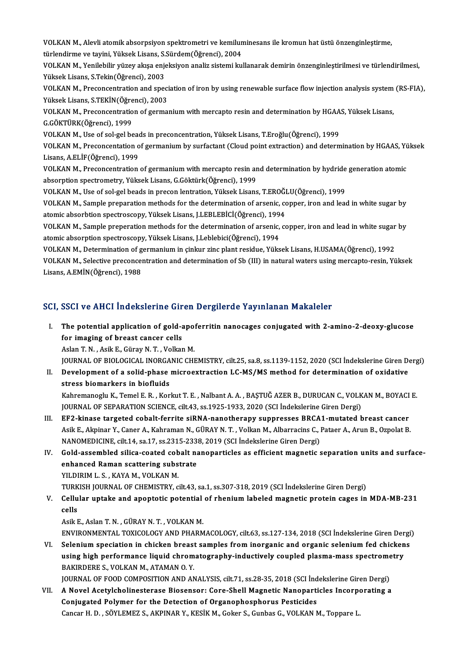VOLKAN M., Alevli atomik absorpsiyon spektrometri ve kemiluminesans ile kromun hat üstü önzenginleştirme,<br>türlendirme ve tavini, Yüksek Lisene, S Sürdem(Öğrensi), 2004 VOLKAN M., Alevli atomik absorpsiyon spektrometri ve kemilun<br>türlendirme ve tayini, Yüksek Lisans, S.Sürdem(Öğrenci), 2004<br>VOLKAN M. Yonilebilir vürey alıse eniaksiyon analir sistemi lu: VOLKAN M., Alevli atomik absorpsiyon spektrometri ve kemiluminesans ile kromun hat üstü önzenginleştirme,<br>türlendirme ve tayini, Yüksek Lisans, S.Sürdem(Öğrenci), 2004<br>VOLKAN M., Yenilebilir yüzey akışa enjeksiyon analiz s

türlendirme ve tayini, Yüksek Lisans, S.Sürdem(Öğrenci), 2004<br>VOLKAN M., Yenilebilir yüzey akışa enjeksiyon analiz sistemi kullanarak demirin önzenginleştirilmesi ve türlendirilmesi,<br>Yüksek Lisans, S.Tekin(Öğrenci), 2003 VOLKAN M., Yenilebilir yüzey akışa enjeksiyon analiz sistemi kullanarak demirin önzenginleştirilmesi ve türlendirilmesi,<br>Yüksek Lisans, S.Tekin(Öğrenci), 2003<br>VOLKAN M., Preconcentration and speciation of iron by using ren

Yüksek Lisans, S.Tekin(Öğrenci), 2003<br>VOLKAN M., Preconcentration and speci<br>Yüksek Lisans, S.TEKİN(Öğrenci), 2003<br>VOLKAN M. Preconcentration of germe VOLKAN M., Preconcentration and speciation of iron by using renewable surface flow injection analysis system<br>Yüksek Lisans, S.TEKİN(Öğrenci), 2003<br>VOLKAN M., Preconcentration of germanium with mercapto resin and determinat

Yüksek Lisans, S.TEKİN (Öğre<br>VOLKAN M., Preconcentratio<br>G.GÖKTÜRK(Öğrenci), 1999<br>VOLKAN M. Use of sel sel be VOLKAN M., Preconcentration of germanium with mercapto resin and determination by HGAA<br>G.GÖKTÜRK(Öğrenci), 1999<br>VOLKAN M., Use of sol-gel beads in preconcentration, Yüksek Lisans, T.Eroğlu(Öğrenci), 1999<br>VOLKAN M., Preconc

G.GÖKTÜRK(Öğrenci), 1999<br>VOLKAN M., Use of sol-gel beads in preconcentration, Yüksek Lisans, T.Eroğlu(Öğrenci), 1999<br>VOLKAN M., Preconcentation of germanium by surfactant (Cloud point extraction) and determination by HGAAS VOLKAN M., Use of sol-gel bead<br>VOLKAN M., Preconcentation o<br>Lisans, A.ELİF(Öğrenci), 1999<br>VOLKAN M., Preconcentration VOLKAN M., Preconcentation of germanium by surfactant (Cloud point extraction) and determination by HGAAS, Yu<br>Lisans, A.ELİF(Öğrenci), 1999<br>VOLKAN M., Preconcentration of germanium with mercapto resin and determination by

Lisans, A.ELİF(Öğrenci), 1999<br>VOLKAN M., Preconcentration of germanium with mercapto resin and determination by hydride generation atomic<br>absorption spectrometry, Yüksek Lisans, G.Göktürk(Öğrenci), 1999 VOLKAN M., Preconcentration of germanium with mercapto resin and determination by hydride<br>absorption spectrometry, Yüksek Lisans, G.Göktürk(Öğrenci), 1999<br>VOLKAN M., Use of sol-gel beads in precon lentration, Yüksek Lisans

VOLKAN M., Sample preparation methods for the determination of arsenic, copper, iron and lead in white sugar by<br>atomic absorbtion spectroscopy, Yüksek Lisans, J.LEBLEBİCİ(Öğrenci), 1994 VOLKAN M., Use of sol-gel beads in precon lentration, Yüksek Lisans, T.EROĞI<br>VOLKAN M., Sample preparation methods for the determination of arsenic, co<br>atomic absorbtion spectroscopy, Yüksek Lisans, J.LEBLEBİCİ(Öğrenci), 1 VOLKAN M., Sample preparation methods for the determination of arsenic, copper, iron and lead in white sugar by<br>atomic absorbtion spectroscopy, Yüksek Lisans, J.LEBLEBİCİ(Öğrenci), 1994<br>VOLKAN M., Sample preperation method

atomic absorbtion spectroscopy, Yüksek Lisans, J.LEBLEBİCİ(Öğrenci), 1994<br>VOLKAN M., Sample preperation methods for the determination of arsenic,<br>atomic absorption spectroscopy, Yüksek Lisans, J.Leblebici(Öğrenci), 1994<br>VO VOLKAN M., Sample preperation methods for the determination of arsenic, copper, iron and lead in white sugar<br>atomic absorption spectroscopy, Yüksek Lisans, J.Leblebici(Öğrenci), 1994<br>VOLKAN M., Determination of germanium i

atomic absorption spectroscopy, Yüksek Lisans, J.Leblebici(Öğrenci), 1994<br>VOLKAN M., Determination of germanium in çinkur zinc plant residue, Yüksek Lisans, H.USAMA(Öğrenci), 1992<br>VOLKAN M., Selective preconcentration and VOLKAN M., Determination of germanium in çinkur zinc plant residue, Yüksek Lisans, H.USAMA(Öğrenci), 1992

# SCI, SSCI ve AHCI İndekslerine Giren Dergilerde Yayınlanan Makaleler

CI, SSCI ve AHCI İndekslerine Giren Dergilerde Yayınlanan Makaleler<br>I. The potential application of gold-apoferritin nanocages conjugated with 2-amino-2-deoxy-glucose<br>for imaging of breast cancer sells The potential application of gold-<br>for imaging of breast cancer cells<br> $\Lambda$ clan T. N.  $\Lambda$ cik E. Günav N. T. Volkan The potential application of gold-apo:<br>for imaging of breast cancer cells<br>Aslan T. N. , Asik E., Güray N. T. , Volkan M.<br>JOUPNAL OF PIOLOCICAL INOPCANIC CHI for imaging of breast cancer cells<br>Aslan T. N. , Asik E., Güray N. T. , Volkan M.<br>JOURNAL OF BIOLOGICAL INORGANIC CHEMISTRY, cilt.25, sa.8, ss.1139-1152, 2020 (SCI İndekslerine Giren Dergi)

Aslan T. N. , Asik E., Güray N. T. , Volkan M.<br>JOURNAL OF BIOLOGICAL INORGANIC CHEMISTRY, cilt.25, sa.8, ss.1139-1152, 2020 (SCI İndekslerine Giren D.<br>II. Development of a solid-phase microextraction LC-MS/MS method for de JOURNAL OF BIOLOGICAL INORGA<br>Development of a solid-phase<br>stress biomarkers in biofluids<br>Kahnamanaglu K. Tamal E. B., Kan Development of a solid-phase microextraction LC-MS/MS method for determination of oxidative<br>stress biomarkers in biofluids<br>Kahremanoglu K., Temel E. R. , Korkut T. E. , Nalbant A. A. , BAŞTUĞ AZER B., DURUCAN C., VOLKAN M.

stress biomarkers in biofluids<br>Kahremanoglu K., Temel E. R. , Korkut T. E. , Nalbant A. A. , BAŞTUĞ AZER B., DURUCAN C., VOLKAN M., BOYACI E.<br>JOURNAL OF SEPARATION SCIENCE, cilt.43, ss.1925-1933, 2020 (SCI İndekslerine Gir Kahremanoglu K., Temel E. R., Korkut T. E., Nalbant A. A., BAŞTUĞ AZER B., DURUCAN C., VOLKAN M., BOYACI<br>JOURNAL OF SEPARATION SCIENCE, cilt.43, ss.1925-1933, 2020 (SCI İndekslerine Giren Dergi)<br>III. EF2-kinase targeted co

- JOURNAL OF SEPARATION SCIENCE, cilt.43, ss.1925-1933, 2020 (SCI İndekslerine Giren Dergi)<br>EF2-kinase targeted cobalt-ferrite siRNA-nanotherapy suppresses BRCA1-mutated breast cancer<br>Asik E., Akpinar Y., Caner A., Kahraman EF2-kinase targeted cobalt-ferrite siRNA-nanotherapy suppresses BRCA<br>Asik E., Akpinar Y., Caner A., Kahraman N., GÜRAY N. T. , Volkan M., Albarracins C., l<br>NANOMEDICINE, cilt.14, sa.17, ss.2315-2338, 2019 (SCI İndekslerine Asik E., Akpinar Y., Caner A., Kahraman N., GÜRAY N. T. , Volkan M., Albarracins C., Pataer A., Arun B., Ozpolat B.<br>NANOMEDICINE, cilt.14, sa.17, ss.2315-2338, 2019 (SCI Indekslerine Giren Dergi)<br>IV. Gold-assembled silica-
- NANOMEDICINE, cilt.14, sa.17, ss.2315-2338, 2019 (SCI Indekslerine Giren Dergi)<br>IV. Gold-assembled silica-coated cobalt nanoparticles as efficient magnetic separation units and surface-<br>enhanced Raman scattering substrate<br> enhanced Raman scattering substrate

TURKISH JOURNAL OF CHEMISTRY, cilt.43, sa.1, ss.307-318, 2019 (SCI İndekslerine Giren Dergi)

YILDIRIM L. S. , KAYA M., VOLKAN M.<br>TURKISH JOURNAL OF CHEMISTRY, cilt43, sa.1, ss.307-318, 2019 (SCI İndekslerine Giren Dergi)<br>V. Cellular uptake and apoptotic potential of rhenium labeled magnetic protein cages in MD TURK<br>Cellu<br>cells<br>Asik E Cellular uptake and apoptotic potential<br>cells<br>Asik E., Aslan T. N. , GÜRAY N. T. , VOLKAN M.<br>ENWPONMENTAL TOYICOLOCY AND BHARM cells<br>Asik E., Aslan T. N. , GÜRAY N. T. , VOLKAN M.<br>ENVIRONMENTAL TOXICOLOGY AND PHARMACOLOGY, cilt.63, ss.127-134, 2018 (SCI İndekslerine Giren Dergi)<br>Selenium enegiation in ebigken breast samples from inexsanis and exse

Asik E., Aslan T. N. , GÜRAY N. T. , VOLKAN M.<br>ENVIRONMENTAL TOXICOLOGY AND PHARMACOLOGY, cilt.63, ss.127-134, 2018 (SCI İndekslerine Giren Dergi<br>VI. Selenium speciation in chicken breast samples from inorganic and organic ENVIRONMENTAL TOXICOLOGY AND PHARMACOLOGY, cilt.63, ss.127-134, 2018 (SCI İndekslerine Giren Der<br>Selenium speciation in chicken breast samples from inorganic and organic selenium fed chicken<br>using high performance liquid c Selenium speciation in chicken breast<br>using high performance liquid chrom<br>BAKIRDERE S., VOLKAN M., ATAMAN 0. Y.<br>JOUPNAL OF FOOD COMPOSITION AND AN using high performance liquid chromatography-inductively coupled plasma-mass spectrome<br>BAKIRDERE S., VOLKAN M., ATAMAN O. Y.<br>JOURNAL OF FOOD COMPOSITION AND ANALYSIS, cilt.71, ss.28-35, 2018 (SCI İndekslerine Giren Dergi)<br>

BAKIRDERE S., VOLKAN M., ATAMAN O. Y.<br>JOURNAL OF FOOD COMPOSITION AND ANALYSIS, cilt.71, ss.28-35, 2018 (SCI Indekslerine Giren Dergi)<br>VII. A Novel Acetylcholinesterase Biosensor: Core-Shell Magnetic Nanoparticles Incorpor JOURNAL OF FOOD COMPOSITION AND ANALYSIS, cilt.71, ss.28-35, 2018 (SCI ind<br>A Novel Acetylcholinesterase Biosensor: Core-Shell Magnetic Nanoparti<br>Conjugated Polymer for the Detection of Organophosphorus Pesticides<br>Cangar H. VII. A Novel Acetylcholinesterase Biosensor: Core-Shell Magnetic Nanoparticles Incorporating a<br>Conjugated Polymer for the Detection of Organophosphorus Pesticides<br>Cancar H. D., SÖYLEMEZ S., AKPINAR Y., KESİK M., Goker S.,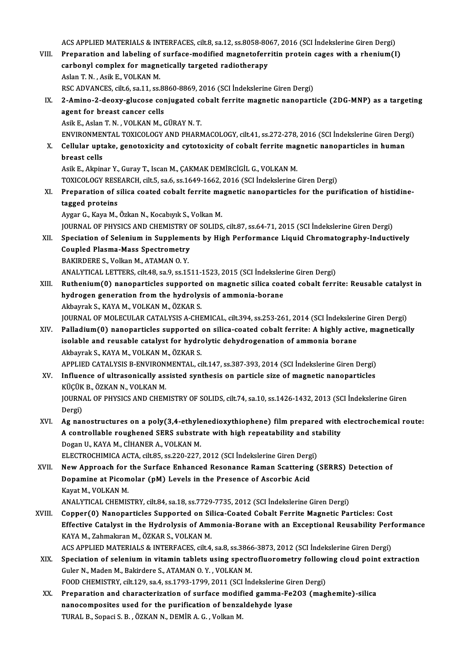ACS APPLIED MATERIALS & INTERFACES, cilt.8, sa.12, ss.8058-8067, 2016 (SCI İndekslerine Giren Dergi)<br>Preperation and labeling of surface modified magneteferujtin protein sages with a rhenium(I

ACS APPLIED MATERIALS & INTERFACES, cilt.8, sa.12, ss.8058-8067, 2016 (SCI İndekslerine Giren Dergi)<br>VIII. Preparation and labeling of surface-modified magnetoferritin protein cages with a rhenium(I) ACS APPLIED MATERIALS & INTERFACES, cilt.8, sa.12, ss.8058-80<br>Preparation and labeling of surface-modified magnetoferr<br>carbonyl complex for magnetically targeted radiotherapy<br>Askar T.N., Asik F. VOLKAN M VIII. Preparation and labeling of surface-modified magnetoferritin protein cages with a rhenium(I) carbonyl complex for magnetically targeted radiotherapy<br>Aslan T. N. , Asik E., VOLKAN M. carbonyl complex for magnetically targeted radiotherapy<br>Aslan T. N. , Asik E., VOLKAN M.<br>RSC ADVANCES, cilt.6, sa.11, ss.8860-8869, 2016 (SCI İndekslerine Giren Dergi)<br>2. Amine. 2. deevy slusese seniyasted sebalt ferrite m

Aslan T. N. , Asik E., VOLKAN M.<br>RSC ADVANCES, cilt.6, sa.11, ss.8860-8869, 2016 (SCI Indekslerine Giren Dergi)<br>IX. 2-Amino-2-deoxy-glucose conjugated cobalt ferrite magnetic nanoparticle (2DG-MNP) as a targeting<br>agent RSC ADVANCES, cilt.6, sa.11, ss.8<br>2-Amino-2-deoxy-glucose com<br>agent for breast cancer cells<br>Asik E. Aslan T. N., VOLKAN M. ( 2-Amino-2-deoxy-glucose conjugated confinent<br>agent for breast cancer cells<br>Asik E., Aslan T. N. , VOLKAN M., GÜRAY N. T.<br>ENWRONMENTAL TOYICOLOCY AND PHAPA agent for breast cancer cells<br>Asik E., Aslan T. N. , VOLKAN M., GÜRAY N. T.<br>ENVIRONMENTAL TOXICOLOGY AND PHARMACOLOGY, cilt.41, ss.272-278, 2016 (SCI İndekslerine Giren Dergi)<br>Cellular untaka, geneterisity and syteterisity

Asik E., Aslan T. N. , VOLKAN M., GÜRAY N. T.<br>ENVIRONMENTAL TOXICOLOGY AND PHARMACOLOGY, cilt.41, ss.272-278, 2016 (SCI İndekslerine Giren Derg<br>X. Cellular uptake, genotoxicity and cytotoxicity of cobalt ferrite magnetic n ENVIRONMEN<br>Cellular upt<br>breast cells<br>Asik E. Almin X. Cellular uptake, genotoxicity and cytotoxicity of cobalt ferrite magnetic nanoparticles in human<br>breast cells<br>Asik E., Akpinar Y., Guray T., Iscan M., CAKMAK DEMİRCİGİL G., VOLKAN M.

TOXICOLOGY RESEARCH, cilt.5, sa.6, ss.1649-1662, 2016 (SCI İndekslerine Giren Dergi)

Asik E., Akpinar Y., Guray T., Iscan M., ÇAKMAK DEMİRCİGİL G., VOLKAN M.<br>TOXICOLOGY RESEARCH, cilt.5, sa.6, ss.1649-1662, 2016 (SCI İndekslerine Giren Dergi)<br>XI. Preparation of silica coated cobalt ferrite magnetic nanopar TOXICOLOGY RESE<br>Preparation of s<br>tagged proteins<br>Avgar C. Kave M Preparation of silica coated cobalt ferrite ma<br>tagged proteins<br>Aygar G., Kaya M., Özkan N., Kocabıyık S., Volkan M.<br>JOUPNAL OF PHYSICS AND CHEMISTRY OF SOLIDS tagged proteins<br>Aygar G., Kaya M., Özkan N., Kocabıyık S., Volkan M.<br>JOURNAL OF PHYSICS AND CHEMISTRY OF SOLIDS, cilt.87, ss.64-71, 2015 (SCI İndekslerine Giren Dergi)

Aygar G., Kaya M., Özkan N., Kocabıyık S., Volkan M.<br>JOURNAL OF PHYSICS AND CHEMISTRY OF SOLIDS, cilt.87, ss.64-71, 2015 (SCI İndekslerine Giren Dergi)<br>XII. Speciation of Selenium in Supplements by High Performance Liquid JOURNAL OF PHYSICS AND CHEMISTRY (<br>Speciation of Selenium in Supplemer<br>Coupled Plasma-Mass Spectrometry<br>BAKIPDEPE S, Volken M, ATAMAN O V Speciation of Selenium in Suppleme<br>Coupled Plasma-Mass Spectrometry<br>BAKIRDERE S., Volkan M., ATAMAN 0. Y.<br>ANALYTICAL LETTERS silt 49.00 0.00 15 Coupled Plasma-Mass Spectrometry<br>BAKIRDERE S., Volkan M., ATAMAN O. Y.<br>ANALYTICAL LETTERS, cilt.48, sa.9, ss.1511-1523, 2015 (SCI İndekslerine Giren Dergi)

- XIII. Ruthenium(0) nanoparticles supported on magnetic silica coated cobalt ferrite: Reusable catalyst in ANALYTICAL LETTERS, cilt.48, sa.9, ss.1511-1523, 2015 (SCI İndeksler<br>Ruthenium(0) nanoparticles supported on magnetic silica coa<br>hydrogen generation from the hydrolysis of ammonia-borane<br>Akhayrak S. KAYA M. VOLKAN M. ÖZKAR Ruthenium(0) nanoparticles supported<br>hydrogen generation from the hydrolys<br>Akbayrak S., KAYA M., VOLKAN M., ÖZKAR S.<br>JOUPNAL OF MOLECULAR CATALYSIS A CHE hydrogen generation from the hydrolysis of ammonia-borane<br>Akbayrak S., KAYA M., VOLKAN M., ÖZKAR S.<br>JOURNAL OF MOLECULAR CATALYSIS A-CHEMICAL, cilt.394, ss.253-261, 2014 (SCI İndekslerine Giren Dergi)<br>Palladium(0) nanonart Akbayrak S., KAYA M., VOLKAN M., ÖZKAR S.<br>JOURNAL OF MOLECULAR CATALYSIS A-CHEMICAL, cilt.394, ss.253-261, 2014 (SCI İndekslerine Giren Dergi)<br>XIV. Palladium(0) nanoparticles supported on silica-coated cobalt ferrite: A hi
	-
- JOURNAL OF MOLECULAR CATALYSIS A-CHEMICAL, cilt.394, ss.253-261, 2014 (SCI İndeksleri)<br>Palladium(0) nanoparticles supported on silica-coated cobalt ferrite: A highly activ<br>isolable and reusable catalyst for hydrolytic dehy XIV. Palladium(0) nanoparticles supported on silica-coated cobalt ferrite: A highly active, magnetically isolable and reusable catalyst for hydrolytic dehydrogenation of ammonia borane<br>Akbayrak S., KAYA M., VOLKAN M., ÖZKA isolable and reusable catalyst for hydrolytic dehydrogenation of ammonia borane<br>Akbayrak S., KAYA M., VOLKAN M., ÖZKAR S.<br>APPLIED CATALYSIS B-ENVIRONMENTAL, cilt.147, ss.387-393, 2014 (SCI İndekslerine Giren Dergi)<br>Influen

Akbayrak S., KAYA M., VOLKAN M., ÖZKAR S.<br>APPLIED CATALYSIS B-ENVIRONMENTAL, cilt.147, ss.387-393, 2014 (SCI İndekslerine Giren Dergi)<br>XV. Influence of ultrasonically assisted synthesis on particle size of magnetic nanopar APPLIED CATALYSIS B-ENVIRON.<br>Influence of ultrasonically as:<br>KÜÇÜK B., ÖZKAN N., VOLKAN M.<br>IOUPNAL OF PHYSICS AND CHEM Influence of ultrasonically assisted synthesis on particle size of magnetic nanoparticles<br>KÜÇÜK B., ÖZKAN N., VOLKAN M.<br>JOURNAL OF PHYSICS AND CHEMISTRY OF SOLIDS, cilt.74, sa.10, ss.1426-1432, 2013 (SCI İndekslerine Giren

KÜÇÜK<br>JOURN<br>Dergi)<br>Az nar JOURNAL OF PHYSICS AND CHEMISTRY OF SOLIDS, cilt.74, sa.10, ss.1426-1432, 2013 (SCI Indekslerine Giren<br>Dergi)<br>XVI. Ag nanostructures on a poly(3,4-ethylenedioxythiophene) film prepared with electrochemical route:<br>A control

Dergi)<br>Ag nanostructures on a poly(3,4-ethylenedioxythiophene) film prepared with<br>A controllable roughened SERS substrate with high repeatability and stability<br>Degan IL KAYA M, CHANER A, VOLKAN M Ag nanostructures on a poly(3,4-ethyle<br>A controllable roughened SERS substra<br>Dogan U., KAYA M., CİHANER A., VOLKAN M.<br>ELECTROCHIMICA ACTA silt 85, 83,220,227 A controllable roughened SERS substrate with high repeatability and stability<br>Dogan U., KAYA M., CİHANER A., VOLKAN M.<br>ELECTROCHIMICA ACTA, cilt.85, ss.220-227, 2012 (SCI İndekslerine Giren Dergi) Dogan U., KAYA M., CİHANER A., VOLKAN M.<br>ELECTROCHIMICA ACTA, cilt85, ss.220-227, 2012 (SCI İndekslerine Giren Dergi)<br>XVII. New Approach for the Surface Enhanced Resonance Raman Scattering (SERRS) Detection of

ELECTROCHIMICA ACTA, cilt.85, ss.220-227, 2012 (SCI İndekslerine Giren Derg<br>New Approach for the Surface Enhanced Resonance Raman Scattering<br>Dopamine at Picomolar (pM) Levels in the Presence of Ascorbic Acid<br>Kavat M, VOLKA New Approach for<br>Dopamine at Picom<br>Kayat M., VOLKAN M.<br>ANALYTICAL CHEMIS Dopamine at Picomolar (pM) Levels in the Presence of Ascorbic Acid<br>Kayat M., VOLKAN M.<br>ANALYTICAL CHEMISTRY, cilt.84, sa.18, ss.7729-7735, 2012 (SCI İndekslerine Giren Dergi)

- Kayat M., VOLKAN M.<br>ANALYTICAL CHEMISTRY, cilt.84, sa.18, ss.7729-7735, 2012 (SCI İndekslerine Giren Dergi)<br>XVIII. Copper(0) Nanoparticles Supported on Silica-Coated Cobalt Ferrite Magnetic Particles: Cost ANALYTICAL CHEMISTRY, cilt.84, sa.18, ss.7729-7735, 2012 (SCI İndekslerine Giren Dergi)<br>Copper(0) Nanoparticles Supported on Silica-Coated Cobalt Ferrite Magnetic Particles: Cost<br>Effective Catalyst in the Hydrolysis of Amm Copper(0) Nanoparticles Supported on Si<br>Effective Catalyst in the Hydrolysis of Amr<br>KAYA M., Zahmakıran M., ÖZKAR S., VOLKAN M.<br>ACS APPLIED MATERIALS & INTERFACES, silt 4. Effective Catalyst in the Hydrolysis of Ammonia-Borane with an Exceptional Reusability Perf<br>KAYA M., Zahmakıran M., ÖZKAR S., VOLKAN M.<br>ACS APPLIED MATERIALS & INTERFACES, cilt.4, sa.8, ss.3866-3873, 2012 (SCI İndekslerine KAYA M., Zahmakıran M., ÖZKAR S., VOLKAN M.<br>ACS APPLIED MATERIALS & INTERFACES, cilt.4, sa.8, ss.3866-3873, 2012 (SCI İndekslerine Giren Dergi)<br>XIX. Speciation of selenium in vitamin tablets using spectrofluorometry follow
- ACS APPLIED MATERIALS & INTERFACES, cilt4, sa.8, ss.3866-3873, 2012 (SCI İndekslerine Giren Dergi)<br>Speciation of selenium in vitamin tablets using spectrofluorometry following cloud point ex<br>Guler N., Maden M., Bakirdere S Speciation of selenium in vitamin tablets using spectrofluorometry followi<br>Guler N., Maden M., Bakirdere S., ATAMAN O.Y. , VOLKAN M.<br>FOOD CHEMISTRY, cilt.129, sa.4, ss.1793-1799, 2011 (SCI İndekslerine Giren Dergi)<br>Prepera
- XX. Preparation and characterization of surfacemodified gamma-Fe2O3 (maghemite)-silica FOOD CHEMISTRY, cilt.129, sa.4, ss.1793-1799, 2011 (SCI Indekslerine Giren Dergi)<br>Preparation and characterization of surface modified gamma-Fe2O3 (mag<br>nanocomposites used for the purification of benzaldehyde lyase<br>TURAL B nanocomposites used for the purification of benzaldehyde lyase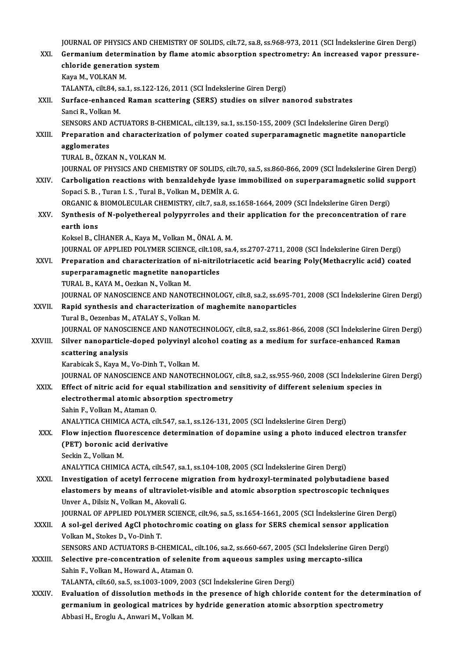JOURNAL OF PHYSICS AND CHEMISTRY OF SOLIDS, cilt.72, sa.8, ss.968-973, 2011 (SCI İndekslerine Giren Dergi)<br>Cormanium determination bu flama atomis absorption spectrometru: An ingressed yapor pressure. JOURNAL OF PHYSICS AND CHEMISTRY OF SOLIDS, cilt.72, sa.8, ss.968-973, 2011 (SCI İndekslerine Giren Dergi)<br>XXI. Germanium determination by flame atomic absorption spectrometry: An increased vapor pressure-<br>chloride sen JOURNAL OF PHYSICS AND CHE<br>Germanium determination b<br>chloride generation system<br>Yous M. VOLYAN M Germanium determination by flame atomic absorption spectrometry: An increased vapor pressure-<br>chloride generation system<br>Kava M., VOLKAN M. chloride generation system<br>Kaya M., VOLKAN M.<br>TALANTA, cilt.84, sa.1, ss.122-126, 2011 (SCI İndekslerine Giren Dergi)<br>Surfaçe enhanced Baman scattering (SEPS) studies en silver n XXII. Surface-enhanced Raman scattering (SERS) studies on silver nanorod substrates<br>Sanci R., Volkan M. TALANTA, cilt.84, s<br>Surface-enhance<br>Sanci R., Volkan M.<br>SENSOBS AND ACT SENSORS AND ACTUATORS B-CHEMICAL, cilt.139, sa.1, ss.150-155, 2009 (SCI İndekslerine Giren Dergi) Sanci R., Volkan M.<br>SENSORS AND ACTUATORS B-CHEMICAL, cilt.139, sa.1, ss.150-155, 2009 (SCI İndekslerine Giren Dergi)<br>XXIII. Preparation and characterization of polymer coated superparamagnetic magnetite nanoparticle<br>255|| **SENSORS AND 4**<br>Preparation a<br>agglomerates<br>TURAL B ÖZKA Preparation and characteriza<br>agglomerates<br>TURAL B., ÖZKAN N., VOLKAN M.<br>JOUPMAL OF PHYSICS AND CHEM agglomerates<br>TURAL B., ÖZKAN N., VOLKAN M.<br>JOURNAL OF PHYSICS AND CHEMISTRY OF SOLIDS, cilt.70, sa.5, ss.860-866, 2009 (SCI İndekslerine Giren Dergi) XXIV. Carboligation reactions with benzaldehyde lyase immobilized on superparamagnetic solid support Sopaci S. B., Turan I. S., Tural B., Volkan M., DEMİR A. G. Carboligation reactions with benzaldehyde lyase immobilized on superparamagnetic solid st<br>Sopaci S. B. , Turan I. S. , Tural B., Volkan M., DEMİR A. G.<br>ORGANIC & BIOMOLECULAR CHEMISTRY, cilt.7, sa.8, ss.1658-1664, 2009 (SC Sopaci S. B. , Turan I. S. , Tural B., Volkan M., DEMİR A. G.<br>ORGANIC & BIOMOLECULAR CHEMISTRY, cilt.7, sa.8, ss.1658-1664, 2009 (SCI İndekslerine Giren Dergi)<br>XXV. Synthesis of N-polyethereal polypyrroles and their applic ORGANIC &<br>Synthesis of<br>earth ions<br>Keksel B Ci Synthesis of N-polyethereal polypyrroles and their application for the preconcentration of rare earth ions<br>
Koksel B., CİHANER A., Kaya M., Volkan M., ÖNAL A. M. earth ions<br>Koksel B., CİHANER A., Kaya M., Volkan M., ÖNAL A. M.<br>JOURNAL OF APPLIED POLYMER SCIENCE, cilt.108, sa.4, ss.2707-2711, 2008 (SCI İndekslerine Giren Dergi)<br>Preperation and sharasterization of ni nitriletriasetis Koksel B., CİHANER A., Kaya M., Volkan M., ÖNAL A. M.<br>JOURNAL OF APPLIED POLYMER SCIENCE, cilt.108, sa.4, ss.2707-2711, 2008 (SCI İndekslerine Giren Dergi)<br>XXVI. Preparation and characterization of ni-nitrilotriacetic acid JOURNAL OF APPLIED POLYMER SCIENCE, cilt.108<br>Preparation and characterization of ni-nitril<br>superparamagnetic magnetite nanoparticles<br>TIBAL B. KAYA M. Oszkan N. Volkan M. Preparation and characterization of<br>superparamagnetic magnetite nanop<br>TURAL B., KAYA M., Oezkan N., Volkan M.<br>JOUPMAL OF NANOSCIENCE AND NANOT superparamagnetic magnetite nanoparticles<br>TURAL B., KAYA M., Oezkan N., Volkan M.<br>JOURNAL OF NANOSCIENCE AND NANOTECHNOLOGY, cilt.8, sa.2, ss.695-701, 2008 (SCI İndekslerine Giren Dergi)<br>Panid sunthesis and sharasterizatio TURAL B., KAYA M., Oezkan N., Volkan M.<br>JOURNAL OF NANOSCIENCE AND NANOTECHNOLOGY, cilt.8, sa.2, ss.695-70<br>XXVII. Rapid synthesis and characterization of maghemite nanoparticles<br>Tural B., Oezenbas M., ATALAY S., Volkan M. **JOURNAL OF NANOSCIENCE AND NANOTEC<br>Rapid synthesis and characterization of<br>Tural B., Oezenbas M., ATALAY S., Volkan M.<br>JOURNAL OF NANOSCIENCE AND NANOTEC** JOURNAL OF NANOSCIENCE AND NANOTECHNOLOGY, cilt.8, sa.2, ss.861-866, 2008 (SCI İndekslerine Giren Dergi) Tural B., Oezenbas M., ATALAY S., Volkan M.<br>JOURNAL OF NANOSCIENCE AND NANOTECHNOLOGY, cilt.8, sa.2, ss.861-866, 2008 (SCI İndekslerine Giren l<br>XXVIII. Silver nanoparticle-doped polyvinyl alcohol coating as a medium fo **JOURNAL OF NANOSC**<br>Silver nanoparticle<br>scattering analysis<br>Karabisak S. Kara M Silver nanoparticle-doped polyvinyl ale<br>scattering analysis<br>Karabicak S., Kaya M., Vo-Dinh T., Volkan M.<br>JOUPMAL OF NANOSCIENCE AND NANOTEC scattering analysis<br>Karabicak S., Kaya M., Vo-Dinh T., Volkan M.<br>JOURNAL OF NANOSCIENCE AND NANOTECHNOLOGY, cilt.8, sa.2, ss.955-960, 2008 (SCI İndekslerine Giren Dergi) XXIX. Effect of nitric acid for equal stabilization and sensitivity of different selenium species in JOURNAL OF NANOSCIENCE AND NANOTECHNOLOGY,<br>Effect of nitric acid for equal stabilization and see<br>electrothermal atomic absorption spectrometry<br>Sebin E. Volkan M. Ataman Q. Effect of nitric acid for equelectrothermal atomic absortance<br>Sahin F., Volkan M., Ataman O.<br>ANALYTICA CHIMICA ACTA ci electrothermal atomic absorption spectrometry<br>Sahin F., Volkan M., Ataman O.<br>ANALYTICA CHIMICA ACTA, cilt.547, sa.1, ss.126-131, 2005 (SCI İndekslerine Giren Dergi)<br>Flow injection flyonescence determination of denemine yei Sahin F., Volkan M., Ataman O.<br>ANALYTICA CHIMICA ACTA, cilt.547, sa.1, ss.126-131, 2005 (SCI İndekslerine Giren Dergi)<br>XXX. Flow injection fluorescence determination of dopamine using a photo induced electron transfer<br>(P ANALYTICA CHIMICA ACTA, cilt.54<br>Flow injection fluorescence de<br>(PET) boronic acid derivative<br>Seekin 7, Vellian M Flow injection flu<br>(PET) boronic aci<br>Seckin Z., Volkan M.<br>ANALYTICA CHIMIC (PET) boronic acid derivative<br>Seckin Z., Volkan M.<br>ANALYTICA CHIMICA ACTA, cilt.547, sa.1, ss.104-108, 2005 (SCI İndekslerine Giren Dergi) Seckin Z., Volkan M.<br>ANALYTICA CHIMICA ACTA, cilt.547, sa.1, ss.104-108, 2005 (SCI İndekslerine Giren Dergi)<br>XXXI. Investigation of acetyl ferrocene migration from hydroxyl-terminated polybutadiene based<br>Alastemers by mean elastomers by means of ultraviolet-visible and atomic absorption spectroscopic techniques<br>Unver A., Dilsiz N., Volkan M., Akovali G. Investigation of acetyl ferrocene m<br>elastomers by means of ultraviolet<br>Unver A., Dilsiz N., Volkan M., Akovali G.<br>JOUPNAL OF APPLIED POLYMER SCIEN elastomers by means of ultraviolet-visible and atomic absorption spectroscopic techniques<br>Unver A., Dilsiz N., Volkan M., Akovali G.<br>JOURNAL OF APPLIED POLYMER SCIENCE, cilt.96, sa.5, ss.1654-1661, 2005 (SCI İndekslerine G Unver A., Dilsiz N., Volkan M., Akovali G.<br>JOURNAL OF APPLIED POLYMER SCIENCE, cilt.96, sa.5, ss.1654-1661, 2005 (SCI İndekslerine Giren Derg<br>XXXII. A sol-gel derived AgCl photochromic coating on glass for SERS chemica **JOURNAL OF APPLIED POLYME<br>A sol-gel derived AgCl photo**<br>Volkan M., Stokes D., Vo-Dinh T.<br>SENSORS AND ACTHATORS B.C. A sol-gel derived AgCl photochromic coating on glass for SERS chemical sensor application<br>Volkan M., Stokes D., Vo-Dinh T.<br>SENSORS AND ACTUATORS B-CHEMICAL, cilt.106, sa.2, ss.660-667, 2005 (SCI İndekslerine Giren Dergi)<br>S Volkan M., Stokes D., Vo-Dinh T.<br>SENSORS AND ACTUATORS B-CHEMICAL, cilt.106, sa.2, ss.660-667, 2005 (SCI İndekslerine Girenty SENSORS AND ACTUATORS B-CHEMICAL, cilt.106, sa.2, ss.660-667, 2005 (SCI İndekslerine Girenty Sel SENSORS AND ACTUATORS B-CHEMICAL,<br>Selective pre-concentration of seleni<br>Sahin F., Volkan M., Howard A., Ataman O.<br>TALANTA silt 60 se 5 se 1002 1000 2003 Selective pre-concentration of selenite from aqueous samples usi<br>Sahin F., Volkan M., Howard A., Ataman O.<br>TALANTA, cilt.60, sa.5, ss.1003-1009, 2003 (SCI İndekslerine Giren Dergi)<br>Fyaluation of dissolution methode in the Sahin F., Volkan M., Howard A., Ataman O.<br>TALANTA, cilt.60, sa.5, ss.1003-1009, 2003 (SCI Indekslerine Giren Dergi)<br>XXXIV. Evaluation of dissolution methods in the presence of high chloride content for the determination of TALANTA, cilt.60, sa.5, ss.1003-1009, 2003 (SCI indekslerine Giren Dergi)<br>Evaluation of dissolution methods in the presence of high chloride content for the determ<br>germanium in geological matrices by hydride generation ato Evaluation of dissolution methods in<br>germanium in geological matrices by<br>Abbasi H., Eroglu A., Anwari M., Volkan M.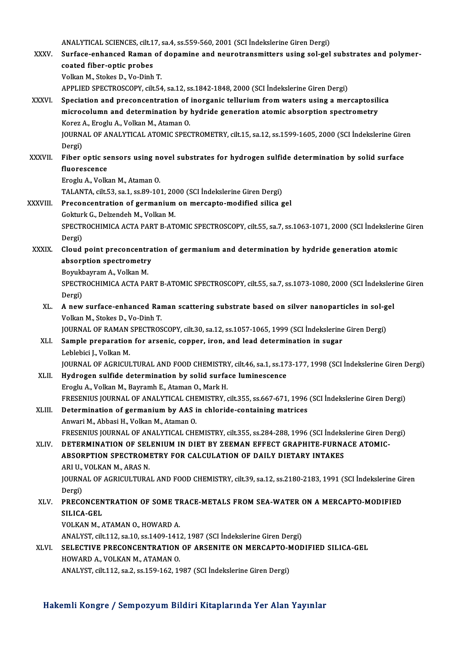ANALYTICAL SCIENCES, cilt.17, sa.4, ss.559-560, 2001 (SCI İndekslerine Giren Dergi)<br>Surface enhanced Baman of denamine and neuvetranemittare using sol gel

|               | ANALYTICAL SCIENCES, cilt.17, sa.4, ss.559-560, 2001 (SCI Indekslerine Giren Dergi)                                        |
|---------------|----------------------------------------------------------------------------------------------------------------------------|
| XXXV.         | Surface-enhanced Raman of dopamine and neurotransmitters using sol-gel substrates and polymer-                             |
|               | coated fiber-optic probes                                                                                                  |
|               | Volkan M., Stokes D., Vo-Dinh T.                                                                                           |
|               | APPLIED SPECTROSCOPY, cilt.54, sa.12, ss.1842-1848, 2000 (SCI Indekslerine Giren Dergi)                                    |
| XXXVI.        | Speciation and preconcentration of inorganic tellurium from waters using a mercaptosilica                                  |
|               | microcolumn and determination by hydride generation atomic absorption spectrometry                                         |
|               | Korez A., Eroglu A., Volkan M., Ataman O.                                                                                  |
|               | JOURNAL OF ANALYTICAL ATOMIC SPECTROMETRY, cilt.15, sa.12, ss.1599-1605, 2000 (SCI Indekslerine Giren<br>Dergi)            |
| <b>XXXVII</b> | Fiber optic sensors using novel substrates for hydrogen sulfide determination by solid surface                             |
|               | fluorescence                                                                                                               |
|               | Eroglu A., Volkan M., Ataman O.                                                                                            |
|               | TALANTA, cilt.53, sa.1, ss.89-101, 2000 (SCI İndekslerine Giren Dergi)                                                     |
| XXXVIII.      | Preconcentration of germanium on mercapto-modified silica gel                                                              |
|               | Gokturk G., Delzendeh M., Volkan M.                                                                                        |
|               | SPECTROCHIMICA ACTA PART B-ATOMIC SPECTROSCOPY, cilt.55, sa.7, ss.1063-1071, 2000 (SCI Indekslerine Giren                  |
|               | Dergi)                                                                                                                     |
| <b>XXXIX</b>  | Cloud point preconcentration of germanium and determination by hydride generation atomic                                   |
|               | absorption spectrometry<br>Boyukbayram A., Volkan M.                                                                       |
|               | SPECTROCHIMICA ACTA PART B-ATOMIC SPECTROSCOPY, cilt.55, sa.7, ss.1073-1080, 2000 (SCI İndekslerine Giren                  |
|               | Dergi)                                                                                                                     |
| XL.           | A new surface-enhanced Raman scattering substrate based on silver nanoparticles in sol-gel                                 |
|               | Volkan M., Stokes D., Vo-Dinh T.                                                                                           |
|               | JOURNAL OF RAMAN SPECTROSCOPY, cilt.30, sa.12, ss.1057-1065, 1999 (SCI İndekslerine Giren Dergi)                           |
| XLI.          | Sample preparation for arsenic, copper, iron, and lead determination in sugar                                              |
|               | Leblebici J., Volkan M.                                                                                                    |
|               | JOURNAL OF AGRICULTURAL AND FOOD CHEMISTRY, cilt.46, sa.1, ss.173-177, 1998 (SCI İndekslerine Giren Dergi)                 |
|               | XLII. Hydrogen sulfide determination by solid surface luminescence<br>Eroglu A., Volkan M., Bayramh E., Ataman O., Mark H. |
|               | FRESENIUS JOURNAL OF ANALYTICAL CHEMISTRY, cilt.355, ss.667-671, 1996 (SCI İndekslerine Giren Dergi)                       |
| XLIII.        | Determination of germanium by AAS in chloride-containing matrices                                                          |
|               | Anwari M., Abbasi H., Volkan M., Ataman O.                                                                                 |
|               | FRESENIUS JOURNAL OF ANALYTICAL CHEMISTRY, cilt.355, ss.284-288, 1996 (SCI İndekslerine Giren Dergi)                       |
| XLIV.         | DETERMINATION OF SELENIUM IN DIET BY ZEEMAN EFFECT GRAPHITE-FURNACE ATOMIC-                                                |
|               | ABSORPTION SPECTROMETRY FOR CALCULATION OF DAILY DIETARY INTAKES                                                           |
|               | ARI U , VOLKAN M , ARAS N.                                                                                                 |
|               | JOURNAL OF AGRICULTURAL AND FOOD CHEMISTRY, cilt.39, sa.12, ss.2180-2183, 1991 (SCI İndekslerine Giren                     |
|               | Dergi)<br>PRECONCENTRATION OF SOME TRACE-METALS FROM SEA-WATER ON A MERCAPTO-MODIFIED                                      |
| XLV.          | SILICA-GEL                                                                                                                 |
|               | VOLKAN M., ATAMAN O., HOWARD A.                                                                                            |
|               | ANALYST, cilt.112, sa.10, ss.1409-1412, 1987 (SCI İndekslerine Giren Dergi)                                                |
| XLVI.         | SELECTIVE PRECONCENTRATION OF ARSENITE ON MERCAPTO-MODIFIED SILICA-GEL                                                     |
|               | HOWARD A., VOLKAN M., ATAMAN O.                                                                                            |
|               | ANALYST, cilt.112, sa.2, ss.159-162, 1987 (SCI İndekslerine Giren Dergi)                                                   |
|               |                                                                                                                            |

Hakemli Kongre / Sempozyum Bildiri Kitaplarında Yer Alan Yayınlar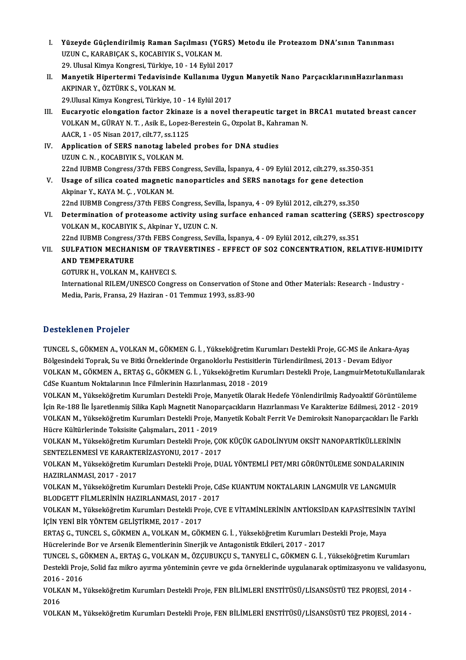- I. Yüzeyde Güçlendirilmiş Raman Saçılması (YGRS) Metodu ile ProteazomDNA'sının Tanınması Yüzeyde Güçlendirilmiş Raman Saçılması (YG<br>UZUN C., KARABIÇAK S., KOCABIYIK S., VOLKAN M.<br>20 Ulysel Kimya Kongresi Türkiye 10, 14 Evlül 20 Yüzeyde Güçlendirilmiş Raman Saçılması (YGRS)<br>UZUN C., KARABIÇAK S., KOCABIYIK S., VOLKAN M.<br>29. Ulusal Kimya Kongresi, Türkiye, 10 - 14 Eylül 2017<br>Manustik Hinertermi Tedevisinde Kullanıma Hygı UZUN C., KARABIÇAK S., KOCABIYIK S., VOLKAN M.<br>29. Ulusal Kimya Kongresi, Türkiye, 10 - 14 Eylül 2017<br>II. Manyetik Hipertermi Tedavisinde Kullanıma Uygun Manyetik Nano ParçacıklarınınHazırlanması<br>AKRINAR V. ÖZTÜRK S. VOLKA
- 29. Ulusal Kimya Kongresi, Türkiye, 1<br><mark>Manyetik Hipertermi Tedavisind</mark><br>AKPINAR Y., ÖZTÜRK S., VOLKAN M.<br>29 Ulusal Kimya Kongresi, Türkiye, 1 Manyetik Hipertermi Tedavisinde Kullanıma Uyg<br>AKPINAR Y., ÖZTÜRK S., VOLKAN M.<br>29.Ulusal Kimya Kongresi, Türkiye, 10 - 14 Eylül 2017<br>Euserwetis olangation faster 2kinage is a novel t AKPINAR Y., ÖZTÜRK S., VOLKAN M.<br>29.Ulusal Kimya Kongresi, Türkiye, 10 - 14 Eylül 2017<br>III. Eucaryotic elongation factor 2kinaze is a novel therapeutic target in BRCA1 mutated breast cancer<br>VOLKAN M. CÜRAV N.T. Asik E. LOD
- 29.Ulusal Kimya Kongresi, Türkiye, 10 14 Eylül 2017<br>Eucaryotic elongation factor 2kinaze is a novel therapeutic target in<br>VOLKAN M., GÜRAY N. T. , Asik E., Lopez-Berestein G., Ozpolat B., Kahraman N.<br>AACP 1 05 Nisan 20 Eucaryotic elongation factor 2kinaze<br>VOLKAN M., GÜRAY N. T. , Asik E., Lopez-1<br>AACR, 1 - 05 Nisan 2017, cilt.77, ss.1125<br>Annligation of SEBS nanotag labeled VOLKAN M., GÜRAY N. T., Asik E., Lopez-Berestein G., Ozpolat B., Kahi<br>AACR, 1 - 05 Nisan 2017, cilt.77, ss.1125<br>IV. Application of SERS nanotag labeled probes for DNA studies<br>ITIN C.N. KOCARIVIK S. VOLKAN M.
- AACR, 1 05 Nisan 2017, cilt.77, ss.112<br>Application of SERS nanotag label<br>UZUN C. N. , KOCABIYIK S., VOLKAN M.<br>22nd UIBMB Congress (27th EEBS Con 22nd IUBMBCongress/37th FEBSCongress,Sevila, İspanya,4 -09Eylül2012, cilt.279, ss.350-351 UZUN C. N. , KOCABIYIK S., VOLKAN M.<br>22nd IUBMB Congress/37th FEBS Congress, Sevilla, İspanya, 4 - 09 Eylül 2012, cilt.279, ss.350-3<br>21 V. Bage of silica coated magnetic nanoparticles and SERS nanotags for gene detection
- Akpinar Y.,KAYAM.Ç. ,VOLKANM. Usage of silica coated magnetic nanoparticles and SERS nanotags for gene detection<br>Akpinar Y., KAYA M. Ç. , VOLKAN M.<br>22nd IUBMB Congress/37th FEBS Congress, Sevilla, İspanya, 4 - 09 Eylül 2012, cilt.279, ss.350<br>Determinat
- Akpinar Y., KAYA M. Ç. , VOLKAN M.<br>22nd IUBMB Congress/37th FEBS Congress, Sevilla, İspanya, 4 09 Eylül 2012, cilt.279, ss.350<br>VI. Determination of proteasome activity using surface enhanced raman scattering (SERS) s 22nd IUBMB Congress/37th FEBS Congress, Sevilla, İspanya, 4 - 09 Eylül 2012, cilt.279, ss.350<br>Determination of proteasome activity using surface enhanced raman scattering (SE<br>VOLKAN M., KOCABIYIK S., Akpinar Y., UZUN C. N. Determination of proteasome activity using surface enhanced raman scattering (SE<br>VOLKAN M., KOCABIYIK S., Akpinar Y., UZUN C. N.<br>22nd IUBMB Congress/37th FEBS Congress, Sevilla, İspanya, 4 - 09 Eylül 2012, cilt.279, ss.351

VOLKAN M., KOCABIYIK S., Akpinar Y., UZUN C. N.<br>22nd IUBMB Congress/37th FEBS Congress, Sevilla, İspanya, 4 - 09 Eylül 2012, cilt.279, ss.351<br>VII. SULFATION MECHANISM OF TRAVERTINES - EFFECT OF SO2 CONCENTRATION, RELAT 22nd IUBMB Congress/37th FEBS Congress, Sevilla, İspanya, 4 - 09 Eylül 2012, cilt.279, ss.351<br>SULFATION MECHANISM OF TRAVERTINES - EFFECT OF SO2 CONCENTRATION, REL<br>AND TEMPERATURE<br>GOTURK H.. VOLKAN M.. KAHVECI S. SULFATION MECHANISM OF TRA<br>AND TEMPERATURE<br>GOTURK H., VOLKAN M., KAHVECI S.<br>International BILEM (UNESCO Congr

AND TEMPERATURE<br>GOTURK H., VOLKAN M., KAHVECI S.<br>International RILEM/UNESCO Congress on Conservation of Stone and Other Materials: Research - Industry -<br>Modia Paris Fransa. 29 Hagiran - 01 Temmug 1993, cs 83-90. GOTURK H., VOLKAN M., KAHVECI S.<br>International RILEM/UNESCO Congress on Conservation of St<br>Media, Paris, Fransa, 29 Haziran - 01 Temmuz 1993, ss.83-90 Media, Paris, Fransa, 29 Haziran - 01 Temmuz 1993, ss.83-90<br>Desteklenen Projeler

Desteklenen Projeler<br>TUNCEL S., GÖKMEN A., VOLKAN M., GÖKMEN G. İ. , Yükseköğretim Kurumları Destekli Proje, GC-MS ile Ankara-Ayaş<br>Bölgesindeki Tenrek, Su ve Pitki Örneklerinde Organeklerlu Pestisitlerin Türkendirilmesi, 2 Bölgesindeki Trojolor<br>TUNCEL S., GÖKMEN A., VOLKAN M., GÖKMEN G. İ. , Yükseköğretim Kurumları Destekli Proje, GC-MS ile Ankara-<br>Bölgesindeki Toprak, Su ve Bitki Örneklerinde Organoklorlu Pestisitlerin Türlendirilmesi, 2013 TUNCEL S., GÖKMEN A., VOLKAN M., GÖKMEN G. İ. , Yükseköğretim Kurumları Destekli Proje, GC-MS ile Ankara-Ayaş<br>Bölgesindeki Toprak, Su ve Bitki Örneklerinde Organoklorlu Pestisitlerin Türlendirilmesi, 2013 - Devam Ediyor<br>VO Bölgesindeki Toprak, Su ve Bitki Örneklerinde Organoklorlu Pestisitlerin<br>VOLKAN M., GÖKMEN A., ERTAŞ G., GÖKMEN G. İ. , Yükseköğretim Kurur<br>CdSe Kuantum Noktalarının Ince Filmlerinin Hazırlanması, 2018 - 2019<br>VOLKAN M. Vül VOLKAN M., GÖKMEN A., ERTAŞ G., GÖKMEN G. İ. , Yükseköğretim Kurumları Destekli Proje, LangmuirMetotuKullanılara<br>CdSe Kuantum Noktalarının Ince Filmlerinin Hazırlanması, 2018 - 2019<br>VOLKAN M., Yükseköğretim Kurumları Deste

CdSe Kuantum Noktalarının Ince Filmlerinin Hazırlanması, 2018 - 2019<br>VOLKAN M., Yükseköğretim Kurumları Destekli Proje, Manyetik Olarak Hedefe Yönlendirilmiş Radyoaktif Görüntüleme<br>İçin Re-188 İle İşaretlenmiş Silika Kaplı VOLKAN M., Yükseköğretim Kurumları Destekli Proje, Manyetik Olarak Hedefe Yönlendirilmiş Radyoaktif Görüntüleme<br>İçin Re-188 İle İşaretlenmiş Silika Kaplı Magnetit Nanoparçacıkların Hazırlanması Ve Karakterize Edilmesi, 201 VOLKAN M., Yükseköğretim Kurumları Destekli Proje, Manyetik Kobalt Ferrit Ve Demiroksit Nanoparçacıkları İle Farklı<br>Hücre Kültürlerinde Toksisite Çalışmaları., 2011 - 2019 VOLKAN M., Yükseköğretim Kurumları Destekli Proje, Manyetik Kobalt Ferrit Ve Demiroksit Nanoparçacıkları İle F<br>Hücre Kültürlerinde Toksisite Çalışmaları., 2011 - 2019<br>VOLKAN M., Yükseköğretim Kurumları Destekli Proje, ÇOK

Hücre Kültürlerinde Toksisite Çalışmaları., 2011 - 2019<br>VOLKAN M., Yükseköğretim Kurumları Destekli Proje, ÇO<br>SENTEZLENMESİ VE KARAKTERİZASYONU, 2017 - 2017<br>VOLKAN M. Vülseköğretim Kurumları Destekli Proje, DU VOLKAN M., Yükseköğretim Kurumları Destekli Proje, ÇOK KÜÇÜK GADOLİNYUM OKSİT NANOPARTİKÜLLERİNİN<br>SENTEZLENMESİ VE KARAKTERİZASYONU, 2017 - 2017<br>VOLKAN M., Yükseköğretim Kurumları Destekli Proje, DUAL YÖNTEMLİ PET/MRI GÖRÜ

SENTEZLENMESİ VE KARAKTERİZASYONU, 2017 - 2017<br>VOLKAN M., Yükseköğretim Kurumları Destekli Proje, DUAL YÖNTEMLİ PET/MRI GÖRÜNTÜLEME SONDALARININ<br>HAZIRLANMASI, 2017 - 2017 VOLKAN M., Yükseköğretim Kurumları Destekli Proje, DUAL YÖNTEMLİ PET/MRI GÖRÜNTÜLEME SONDALARINI<br>HAZIRLANMASI, 2017 - 2017<br>VOLKAN M., Yükseköğretim Kurumları Destekli Proje, CdSe KUANTUM NOKTALARIN LANGMUİR VE LANGMUİR<br>BLO

HAZIRLANMASI, 2017 - 2017<br>VOLKAN M., Yükseköğretim Kurumları Destekli Proje, Cd<br>BLODGETT FİLMLERİNİN HAZIRLANMASI, 2017 - 2017<br>VOLKAN M. Vükseköğretim Kurumları Destekli Proje, CV VOLKAN M., Yükseköğretim Kurumları Destekli Proje, CdSe KUANTUM NOKTALARIN LANGMUİR VE LANGMUİR<br>BLODGETT FİLMLERİNİN HAZIRLANMASI, 2017 - 2017<br>VOLKAN M., Yükseköğretim Kurumları Destekli Proje, CVE E VİTAMİNLERİNİN ANTİOKS

BLODGETT FİLMLERİNİN HAZIRLANMASI, 2017 - 2<br>VOLKAN M., Yükseköğretim Kurumları Destekli Pro<br>İÇİN YENİ BİR YÖNTEM GELİŞTİRME, 2017 - 2017<br>EPTAS G., TUNGEL S. GÖKMEN A. VOLKAN M. GÖK VOLKAN M., Yükseköğretim Kurumları Destekli Proje, CVE E VİTAMİNLERİNİN ANTİOKSİDAN KAPASİTESİNİN<br>İÇİN YENİ BİR YÖNTEM GELİŞTİRME, 2017 - 2017<br>ERTAŞ G., TUNCEL S., GÖKMEN A., VOLKAN M., GÖKMEN G. İ. , Yükseköğretim Kurumla

İÇİN YENİ BİR YÖNTEM GELİŞTİRME, 2017 - 2017<br>ERTAŞ G., TUNCEL S., GÖKMEN A., VOLKAN M., GÖKMEN G. İ. , Yükseköğretim Kurumları Destekli Proje, Maya<br>Hücrelerinde Bor ve Arsenik Elementlerinin Sinerjik ve Antagonistik Etkile

TUNCEL S.,GÖKMENA.,ERTAŞG.,VOLKANM.,ÖZÇUBUKÇUS.,TANYELİC.,GÖKMENG. İ. ,YükseköğretimKurumları Hücrelerinde Bor ve Arsenik Elementlerinin Sinerjik ve Antagonistik Etkileri, 2017 - 2017<br>TUNCEL S., GÖKMEN A., ERTAŞ G., VOLKAN M., ÖZÇUBUKÇU S., TANYELİ C., GÖKMEN G. İ. , Yükseköğretim Kurumları<br>Destekli Proje, Solid fa TUNCEL S., G<br>Destekli Proje<br>2016 - 2016<br>VOLKAN M Destekli Proje, Solid faz mikro ayırma yönteminin çevre ve gıda örneklerinde uygulanarak optimizasyonu ve validasy<br>2016 - 2016<br>VOLKAN M., Yükseköğretim Kurumları Destekli Proje, FEN BİLİMLERİ ENSTİTÜSÜ/LİSANSÜSTÜ TEZ PROJE

2016<br>VOLK<br>2016<br>VOLK VOLKAN M., Yükseköğretim Kurumları Destekli Proje, FEN BİLİMLERİ ENSTİTÜSÜ/LİSANSÜSTÜ TEZ PROJESİ, 2014 -<br>2016<br>VOLKAN M., Yükseköğretim Kurumları Destekli Proje, FEN BİLİMLERİ ENSTİTÜSÜ/LİSANSÜSTÜ TEZ PROJESİ, 2014 -